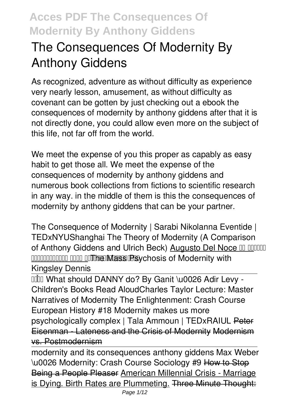# **The Consequences Of Modernity By Anthony Giddens**

As recognized, adventure as without difficulty as experience very nearly lesson, amusement, as without difficulty as covenant can be gotten by just checking out a ebook **the consequences of modernity by anthony giddens** after that it is not directly done, you could allow even more on the subject of this life, not far off from the world.

We meet the expense of you this proper as capably as easy habit to get those all. We meet the expense of the consequences of modernity by anthony giddens and numerous book collections from fictions to scientific research in any way. in the middle of them is this the consequences of modernity by anthony giddens that can be your partner.

*The Consequence of Modernity | Sarabi Nikolanna Eventide | TEDxNYUShanghai The Theory of Modernity (A Comparison of Anthony Giddens and Ulrich Beck)* Augusto Del Noce **THE MASS PROPERTY MASS PROPERTY WITH THE MASS PROPERTY WITH PROPERTY WITH PROPERTY WITH PROPERTY OF MASS PROPERTY WITH PROPERTY OF MASS PROPERTY WITH PROPERTY OF MASS PROPERTY WITH PROPERTY OF MASS PROPERTY OF MASS PROPER Kingsley Dennis**

**IIII What should DANNY do? By Ganit \u0026 Adir Levy -**Children's Books Read Aloud*Charles Taylor Lecture: Master Narratives of Modernity The Enlightenment: Crash Course European History #18* **Modernity makes us more psychologically complex | Tala Ammoun | TEDxRAIUL** Peter Eisenman - Lateness and the Crisis of Modernity Modernism vs. Postmodernism

modernity and its consequences anthony giddens Max Weber \u0026 Modernity: Crash Course Sociology #9 How to Stop Being a People Pleaser American Millennial Crisis - Marriage is Dying. Birth Rates are Plummeting. Three Minute Thought: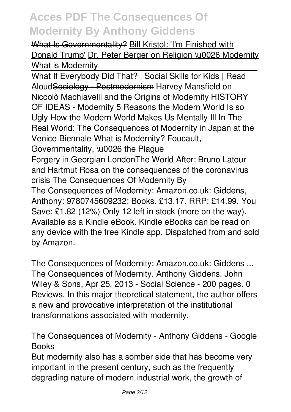What Is Governmentality? Bill Kristol: 'I'm Finished with Donald Trump' Dr. Peter Berger on Religion \u0026 Modernity *What is Modernity*

What If Everybody Did That? | Social Skills for Kids | Read AloudSociology - Postmodernism **Harvey Mansfield on Niccolò Machiavelli and the Origins of Modernity** *HISTORY OF IDEAS - Modernity 5 Reasons the Modern World Is so Ugly How the Modern World Makes Us Mentally Ill In The Real World: The Consequences of Modernity in Japan at the Venice Biennale* **What is Modernity? Foucault,**

**Governmentality, \u0026 the Plague**

Forgery in Georgian London*The World After: Bruno Latour and Hartmut Rosa on the consequences of the coronavirus crisis* **The Consequences Of Modernity By**

The Consequences of Modernity: Amazon.co.uk: Giddens, Anthony: 9780745609232: Books. £13.17. RRP: £14.99. You Save: £1.82 (12%) Only 12 left in stock (more on the way). Available as a Kindle eBook. Kindle eBooks can be read on any device with the free Kindle app. Dispatched from and sold by Amazon.

**The Consequences of Modernity: Amazon.co.uk: Giddens ...** The Consequences of Modernity. Anthony Giddens. John Wiley & Sons, Apr 25, 2013 - Social Science - 200 pages. 0 Reviews. In this major theoretical statement, the author offers a new and provocative interpretation of the institutional transformations associated with modernity.

**The Consequences of Modernity - Anthony Giddens - Google Books**

But modernity also has a somber side that has become very important in the present century, such as the frequently degrading nature of modern industrial work, the growth of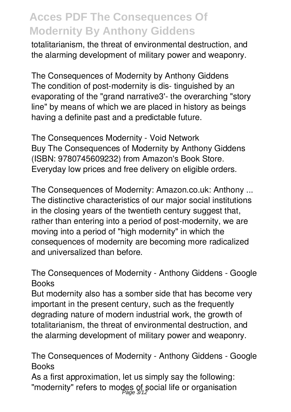totalitarianism, the threat of environmental destruction, and the alarming development of military power and weaponry.

**The Consequences of Modernity by Anthony Giddens** The condition of post-modernity is dis- tinguished by an evaporating of the "grand narrative3'- the overarching "story line" by means of which we are placed in history as beings having a definite past and a predictable future.

**The Consequences Modernity - Void Network** Buy The Consequences of Modernity by Anthony Giddens (ISBN: 9780745609232) from Amazon's Book Store. Everyday low prices and free delivery on eligible orders.

**The Consequences of Modernity: Amazon.co.uk: Anthony ...** The distinctive characteristics of our major social institutions in the closing years of the twentieth century suggest that, rather than entering into a period of post-modernity, we are moving into a period of "high modernity" in which the consequences of modernity are becoming more radicalized and universalized than before.

**The Consequences of Modernity - Anthony Giddens - Google Books**

But modernity also has a somber side that has become very important in the present century, such as the frequently degrading nature of modern industrial work, the growth of totalitarianism, the threat of environmental destruction, and the alarming development of military power and weaponry.

**The Consequences of Modernity - Anthony Giddens - Google Books**

As a first approximation, let us simply say the following: "modernity" refers to modes of social life or organisation Page 3/12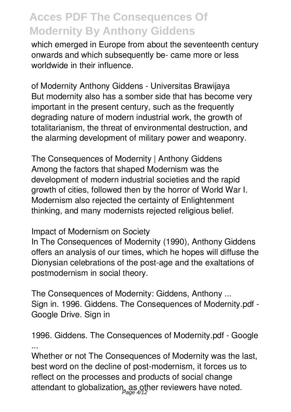which emerged in Europe from about the seventeenth century onwards and which subsequently be- came more or less worldwide in their influence.

**of Modernity Anthony Giddens - Universitas Brawijaya** But modernity also has a somber side that has become very important in the present century, such as the frequently degrading nature of modern industrial work, the growth of totalitarianism, the threat of environmental destruction, and the alarming development of military power and weaponry.

**The Consequences of Modernity | Anthony Giddens** Among the factors that shaped Modernism was the development of modern industrial societies and the rapid growth of cities, followed then by the horror of World War I. Modernism also rejected the certainty of Enlightenment thinking, and many modernists rejected religious belief.

### **Impact of Modernism on Society**

In The Consequences of Modernity (1990), Anthony Giddens offers an analysis of our times, which he hopes will diffuse the Dionysian celebrations of the post-age and the exaltations of postmodernism in social theory.

**The Consequences of Modernity: Giddens, Anthony ...** Sign in. 1996. Giddens. The Consequences of Modernity.pdf - Google Drive. Sign in

**1996. Giddens. The Consequences of Modernity.pdf - Google ...**

Whether or not The Consequences of Modernity was the last, best word on the decline of post-modernism, it forces us to reflect on the processes and products of social change attendant to globalization, as other reviewers have noted. Page 4/12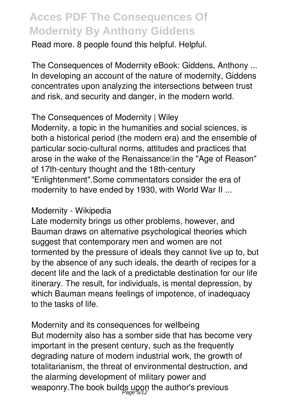Read more. 8 people found this helpful. Helpful.

**The Consequences of Modernity eBook: Giddens, Anthony ...** In developing an account of the nature of modernity, Giddens concentrates upon analyzing the intersections between trust and risk, and security and danger, in the modern world.

### **The Consequences of Modernity | Wiley**

Modernity, a topic in the humanities and social sciences, is both a historical period (the modern era) and the ensemble of particular socio-cultural norms, attitudes and practices that arose in the wake of the Renaissancelin the "Age of Reason" of 17th-century thought and the 18th-century "Enlightenment".Some commentators consider the era of modernity to have ended by 1930, with World War II ...

#### **Modernity - Wikipedia**

Late modernity brings us other problems, however, and Bauman draws on alternative psychological theories which suggest that contemporary men and women are not tormented by the pressure of ideals they cannot live up to, but by the absence of any such ideals, the dearth of recipes for a decent life and the lack of a predictable destination for our life itinerary. The result, for individuals, is mental depression, by which Bauman means feelings of impotence, of inadequacy to the tasks of life.

**Modernity and its consequences for wellbeing** But modernity also has a somber side that has become very important in the present century, such as the frequently degrading nature of modern industrial work, the growth of totalitarianism, the threat of environmental destruction, and the alarming development of military power and weaponry.The book builds upon the author's previous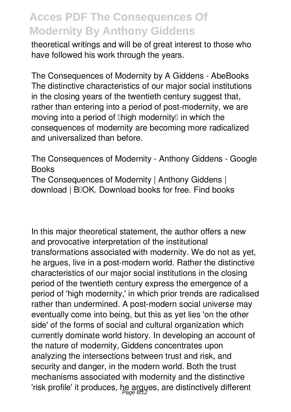theoretical writings and will be of great interest to those who have followed his work through the years.

**The Consequences of Modernity by A Giddens - AbeBooks** The distinctive characteristics of our major social institutions in the closing years of the twentieth century suggest that, rather than entering into a period of post-modernity, we are moving into a period of  $\mathbb{I}$ high modernity $\mathbb{I}$  in which the consequences of modernity are becoming more radicalized and universalized than before.

**The Consequences of Modernity - Anthony Giddens - Google Books** The Consequences of Modernity | Anthony Giddens | download | BIOK. Download books for free. Find books

In this major theoretical statement, the author offers a new and provocative interpretation of the institutional transformations associated with modernity. We do not as yet, he argues, live in a post-modern world. Rather the distinctive characteristics of our major social institutions in the closing period of the twentieth century express the emergence of a period of 'high modernity,' in which prior trends are radicalised rather than undermined. A post-modern social universe may eventually come into being, but this as yet lies 'on the other side' of the forms of social and cultural organization which currently dominate world history. In developing an account of the nature of modernity, Giddens concentrates upon analyzing the intersections between trust and risk, and security and danger, in the modern world. Both the trust mechanisms associated with modernity and the distinctive 'risk profile' it produces, he argues, are distinctively different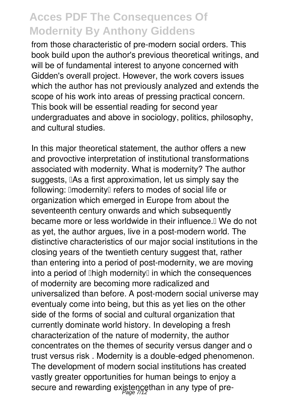from those characteristic of pre-modern social orders. This book build upon the author's previous theoretical writings, and will be of fundamental interest to anyone concerned with Gidden's overall project. However, the work covers issues which the author has not previously analyzed and extends the scope of his work into areas of pressing practical concern. This book will be essential reading for second year undergraduates and above in sociology, politics, philosophy, and cultural studies.

In this major theoretical statement, the author offers a new and provoctive interpretation of institutional transformations associated with modernity. What is modernity? The author suggests, IAs a first approximation, let us simply say the following: ImodernityI refers to modes of social life or organization which emerged in Europe from about the seventeenth century onwards and which subsequently became more or less worldwide in their influence. I We do not as yet, the author argues, live in a post-modern world. The distinctive characteristics of our major social institutions in the closing years of the twentieth century suggest that, rather than entering into a period of post-modernity, we are moving into a period of  $\mathbb{I}$ high modernity $\mathbb{I}$  in which the consequences of modernity are becoming more radicalized and universalized than before. A post-modern social universe may eventualy come into being, but this as yet lies on the other side of the forms of social and cultural organization that currently dominate world history. In developing a fresh characterization of the nature of modernity, the author concentrates on the themes of security versus danger and o trust versus risk . Modernity is a double-edged phenomenon. The development of modern social institutions has created vastly greater opportunities for human beings to enjoy a secure and rewarding existencethan in any type of pre-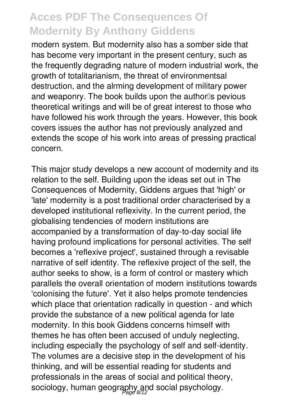modern system. But modernity also has a somber side that has become very important in the present century, such as the frequently degrading nature of modern industrial work, the growth of totalitarianism, the threat of environmentsal destruction, and the alrming development of military power and weaponry. The book builds upon the author<sup>1</sup>s pevious theoretical writings and will be of great interest to those who have followed his work through the years. However, this book covers issues the author has not previously analyzed and extends the scope of his work into areas of pressing practical concern.

This major study develops a new account of modernity and its relation to the self. Building upon the ideas set out in The Consequences of Modernity, Giddens argues that 'high' or 'late' modernity is a post traditional order characterised by a developed institutional reflexivity. In the current period, the globalising tendencies of modern institutions are accompanied by a transformation of day-to-day social life having profound implications for personal activities. The self becomes a 'reflexive project', sustained through a revisable narrative of self identity. The reflexive project of the self, the author seeks to show, is a form of control or mastery which parallels the overall orientation of modern institutions towards 'colonising the future'. Yet it also helps promote tendencies which place that orientation radically in question - and which provide the substance of a new political agenda for late modernity. In this book Giddens concerns himself with themes he has often been accused of unduly neglecting, including especially the psychology of self and self-identity. The volumes are a decisive step in the development of his thinking, and will be essential reading for students and professionals in the areas of social and political theory, sociology, human geography and social psychology.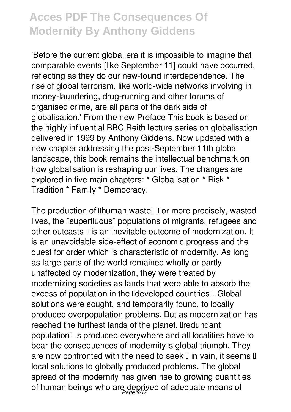'Before the current global era it is impossible to imagine that comparable events [like September 11] could have occurred, reflecting as they do our new-found interdependence. The rise of global terrorism, like world-wide networks involving in money-laundering, drug-running and other forums of organised crime, are all parts of the dark side of globalisation.' From the new Preface This book is based on the highly influential BBC Reith lecture series on globalisation delivered in 1999 by Anthony Giddens. Now updated with a new chapter addressing the post-September 11th global landscape, this book remains the intellectual benchmark on how globalisation is reshaping our lives. The changes are explored in five main chapters: \* Globalisation \* Risk \* Tradition \* Family \* Democracy.

The production of  $\mathbb I$ human waste $\mathbb I$   $\mathbb I$  or more precisely, wasted lives, the **Isuperfluous** populations of migrants, refugees and other outcasts  $\mathbb I$  is an inevitable outcome of modernization. It is an unavoidable side-effect of economic progress and the quest for order which is characteristic of modernity. As long as large parts of the world remained wholly or partly unaffected by modernization, they were treated by modernizing societies as lands that were able to absorb the excess of population in the **Ideveloped countries**<sup>I</sup>. Global solutions were sought, and temporarily found, to locally produced overpopulation problems. But as modernization has reached the furthest lands of the planet, Iredundant population<sup>[]</sup> is produced everywhere and all localities have to bear the consequences of modernity<sup>[]</sup> global triumph. They are now confronted with the need to seek  $\mathbb I$  in vain, it seems  $\mathbb I$ local solutions to globally produced problems. The global spread of the modernity has given rise to growing quantities of human beings who are deprived of adequate means of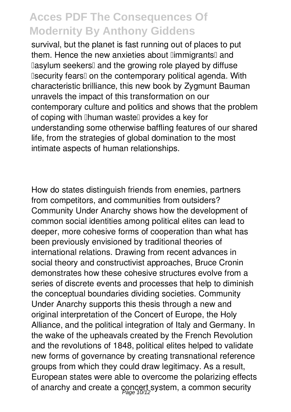survival, but the planet is fast running out of places to put them. Hence the new anxieties about *limmigrants* and Dasylum seekersD and the growing role played by diffuse **Isecurity fearsI** on the contemporary political agenda. With characteristic brilliance, this new book by Zygmunt Bauman unravels the impact of this transformation on our contemporary culture and politics and shows that the problem of coping with **Ihuman wastell** provides a key for understanding some otherwise baffling features of our shared life, from the strategies of global domination to the most intimate aspects of human relationships.

How do states distinguish friends from enemies, partners from competitors, and communities from outsiders? Community Under Anarchy shows how the development of common social identities among political elites can lead to deeper, more cohesive forms of cooperation than what has been previously envisioned by traditional theories of international relations. Drawing from recent advances in social theory and constructivist approaches, Bruce Cronin demonstrates how these cohesive structures evolve from a series of discrete events and processes that help to diminish the conceptual boundaries dividing societies. Community Under Anarchy supports this thesis through a new and original interpretation of the Concert of Europe, the Holy Alliance, and the political integration of Italy and Germany. In the wake of the upheavals created by the French Revolution and the revolutions of 1848, political elites helped to validate new forms of governance by creating transnational reference groups from which they could draw legitimacy. As a result, European states were able to overcome the polarizing effects of anarchy and create a concert system, a common security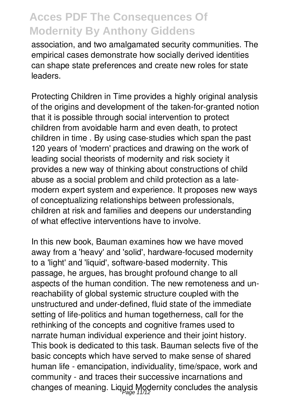association, and two amalgamated security communities. The empirical cases demonstrate how socially derived identities can shape state preferences and create new roles for state leaders.

Protecting Children in Time provides a highly original analysis of the origins and development of the taken-for-granted notion that it is possible through social intervention to protect children from avoidable harm and even death, to protect children in time . By using case-studies which span the past 120 years of 'modern' practices and drawing on the work of leading social theorists of modernity and risk society it provides a new way of thinking about constructions of child abuse as a social problem and child protection as a latemodern expert system and experience. It proposes new ways of conceptualizing relationships between professionals, children at risk and families and deepens our understanding of what effective interventions have to involve.

In this new book, Bauman examines how we have moved away from a 'heavy' and 'solid', hardware-focused modernity to a 'light' and 'liquid', software-based modernity. This passage, he argues, has brought profound change to all aspects of the human condition. The new remoteness and unreachability of global systemic structure coupled with the unstructured and under-defined, fluid state of the immediate setting of life-politics and human togetherness, call for the rethinking of the concepts and cognitive frames used to narrate human individual experience and their joint history. This book is dedicated to this task. Bauman selects five of the basic concepts which have served to make sense of shared human life - emancipation, individuality, time/space, work and community - and traces their successive incarnations and changes of meaning. Liquid Modernity concludes the analysis